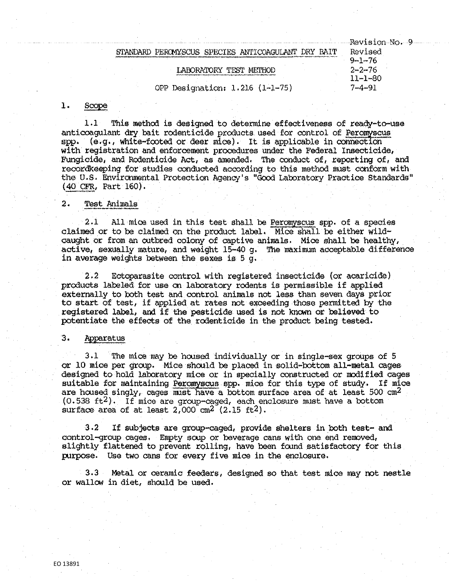|                                 | Revision No. 9 |
|---------------------------------|----------------|
| MYSCUS SPECIES ANTICOAGULANT    | Revised        |
|                                 | $9 - 1 - 76$   |
|                                 | $2 - 2 - 76$   |
|                                 | 11-1-80        |
| OPP Designation: 1.216 (1-1-75) | 7–4–91         |

#### 1. Scope

1.1 This method is designed to determine effectiveness of ready-to-use anticoagulant dry bait rodenticide products used for control of Peromyscus spp. (e.g., white-footed or deer mice). It is applicable in connection  $(s, g, \theta)$ , white-footed or deer mice). It is applicable in connection with registration and enforcement procedures under the Federal Insecticide, Fungicide, and Rodenticide Act, as amended, The conduct of, reporting of, and recordkeeping for studies conducted according to this method must conform with the U.S. Environmental Protection Agency's "Good Laboratory Practice Standards"  $(40$  CFR, Part 160).

# 2. Test Animals

 $2.1$  All mice used in this test shall be Peromyscus spp. of a species claimed or to be claimed on the product label. Mice shall be either wild-caught or from an outbred colony of captive animals. Mice shall be healthy, active, sexually mature, and weight 15-40 g. The maximum acceptable difference in average weights between the sexes is 5 g.

2,2 Ectoparasite control with registered insecticide (or acaricide) externally to both test and control animals not less than seven days prior to start of test, if sipplied at rates not exceeding those permitted by the registered label, and if the pesticide used is not known or believed to potentiate the effects of the rodenticide in the product being tested,

## 3. Apparatus

3.1 The mice may be housed individually or in single-sex groups of 5 or 10 mice per group. Mice should be placed in solid-bottom all-metal cages designed to hold laboratory mice or in specially constructed or modified cages suitable for maintaining Peromyscus spp. mice for this type of study. If mice are housed singly, cages must have a bottom surface area of at least  $500 \text{ cm}^2$  $(0.538 \text{ ft}^2)$ . If mice are group-caged, each enclosure must have a bottom surface area of at least  $2,000 \text{ cm}^2 \text{ (}2.15 \text{ ft}^2\text{)}.$ 

3,2 If subjects are group-caged, provide shelters in both test- and control--group cages. Enpty soop or beverage cans with one end removed, slightly flattened to prevent rolling, have been found satisfactory for this purpose. Use two cans for every five mice in the enclosure.

3,3 Metal or ceramic feeders, designed so that test mice may not nestle or wallow in diet, should be used.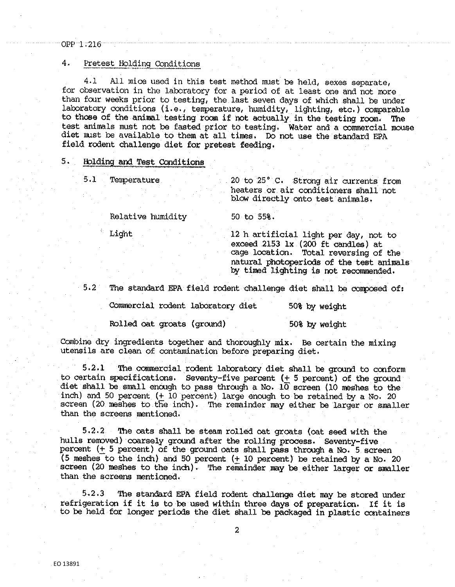# OPP-1:216

## 4. Pretest Holding Conditions

4.1 All mice used in this test method must be held, sexes separate, £or observation in the laboratory for a period of at least one and not more than four weeks prior to testing, the last seven days of which shall be under laboratory conditions (i.e., temperature, humidity, lighting, etc.) comparable to those of the animal testing room if not actually in the testing room, The test animals must not be fasted prior to testing, Water and a commercial mouse diet must be available to them at all times. Do not use the standard EPA field rodent challenge diet for pretest feeding,

# 5. Holding and Test Conditions

5,1 Tenperature 20 to 25• c. Strong air currents from heaters or air conditioners shall not blow directly onto test animals,

Relative humidity 50 to 55%.

Light 12 h artificial light per day, not to exceed 2153 **lx**  (200 ft candles) at cage location, Total reversing of the natural photoperiods of the test animals by timed lighting is not recommended.

5,2 The standard EPA field rodent challenge diet shall be conposed of:

Commercial rodent laboratory diet 50% by weight

Rolled oat groats (ground) 50% by weight

Combine dry ingredients together and thoroughly **mix,** Be certain the mixing utensils are clean of oontamination before preparing diet,

5,2,1 The commercial rodent laooratory diet shall be ground to conform to certain specifications. Seventy-five percent  $(+)$  5 percent) of the ground diet shall be small enough to pass through a No.  $10$  screen (10 meshes to the inch) and 50 percent  $(+10$  percent) large enough to be retained by a No. 20 screen (20 meshes to the inch). The remainder may either be larger or smaller than the screens mentioned,

5,2.2 'Ille oats shall be steam rolled oat groats (oat seed with the hulls removed) coarsely ground after the rolling process. Seventy-five percent  $(+ 5$  percent) of the ground oats shall pass through a No.  $5$  screen (5 meshes to the inch) and 50 percent  $(+10$  percent) be retained by a No. 20 screen (20 meshes to the inch). The remainder may be either larger or smaller than the screens mentioned,

5,2,3 The standard EPA field rodent challenge diet may be stored under refrigeration if it is to be used within three days of preparation, If it is to be held for longer periods the diet shall be packaged in plastic containers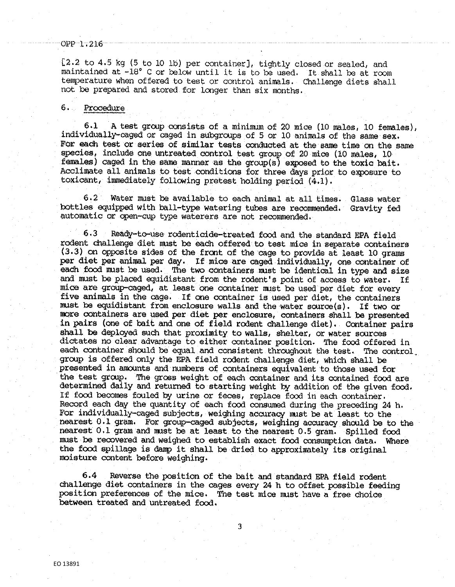#### OPP-1.216

[2,2 to 4,5 kg (5 to 10 lb) per container], tightly closed or sealed, and maintained at -18° C or below until it is to be used. It shall be at room temperature when offered to test or control animals. Challenge diets shall not be prepared and stored for longer than six months,

#### 6 . Procedure

6,1 A test group consists of a minimum of 20 mice (10 males, 10 females), individually~caged or caged in subgroups of 5 or 10 animals of the same sex, For each test or series of similar tests conducted at the same time on the same species, include one untreated control test group of 20 mios (10 males, 10 females) caged in the same manner as the group(s) exposed to the toxic bait, Acclimate all animals to test conditions for three days prior to exposure to toxiaant, immediately follcwing pretest holding period (4,1).

automatic or open-cup type waterers are not recommended, 6,2 Water must be available to each animal at all times, Glass water bottles equipped with ball-type watering tubes are recommended. Gravity fed

6.3 Ready-to-use rodenticide-treated food and the standard EPA field rodent challenge diet must be each offered to test mice in separate containers (3,3) on opposite sides of the front of the cage to provide at least 10 grams per diet per animal per day. If mice are caged individually, one container of each food must be used, The two containers rust be identical in type and size and must be placed equidistant from the rodent's point of access to water. If mice are group-caged, at least one container nust be used per diet for every five animals in the cage. If one container is used per diet, the containers must be equidistant from enclosure walls and the water soorce(s). If two or more containers are used per diet per enclosure, containers shall be presented in pairs (one of bait and one of field rodent challenge diet). Container pairs shall be deployed sudh that proximity to walls, shelter, or water soorces dictates no clear advantage to either container position. The food offered in each container should be equal and consistent throughout the test. The control group is offered only the EPA field rodent challenge diet, which shall be presented in amoonts and numbers of containers equivalent to those used for the test group. The gross weight of each container and its contained food are determined daily and returned to starting weight by addition of the given food, If food becomes fouled by urine or feces, replace food in each container. Record each day the quantity of each food consumed during the preceding 24 h, For individually-caged subjects, weighing accuracy rust be at least to the nearest 0,1 gram, For group-caged subjects, weighing accuracy should be to the nearest 0.1 gram and must be at least to the nearest 0.5 gram. Spilled food must be recovered and weighed to establish exact food consumption data. Where the food spillage is damp it shall be dried to approximately its original moisture content before weighing.

6.4 Reverse the position of the bait and standard EPA field rodent challenge diet containers in the cages every 24 h to offset possible feeding position preferences of the mice, The test mice nust have a free choice between treated and untreated food,